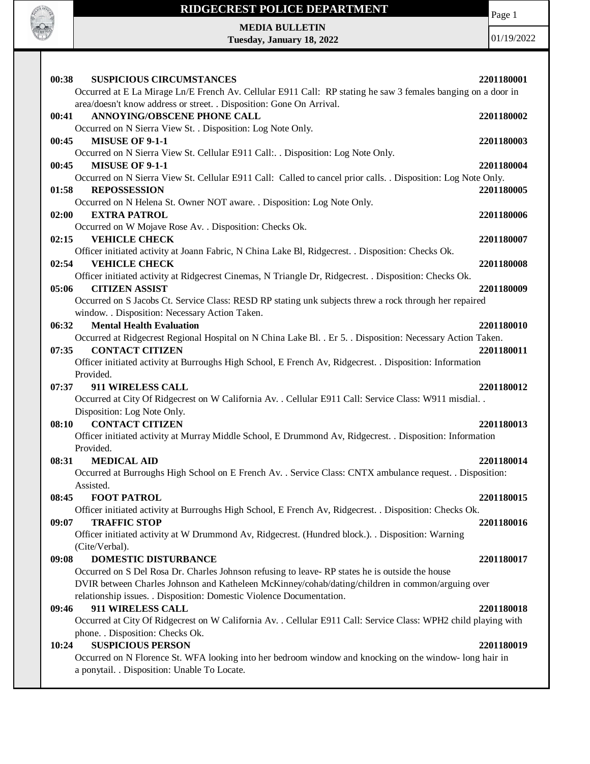

**MEDIA BULLETIN Tuesday, January 18, 2022** Page 1

| 00:38 | <b>SUSPICIOUS CIRCUMSTANCES</b>                                                                                 | 2201180001 |
|-------|-----------------------------------------------------------------------------------------------------------------|------------|
|       | Occurred at E La Mirage Ln/E French Av. Cellular E911 Call: RP stating he saw 3 females banging on a door in    |            |
|       | area/doesn't know address or street. . Disposition: Gone On Arrival.                                            |            |
| 00:41 | <b>ANNOYING/OBSCENE PHONE CALL</b>                                                                              | 2201180002 |
|       | Occurred on N Sierra View St. . Disposition: Log Note Only.                                                     |            |
| 00:45 | <b>MISUSE OF 9-1-1</b>                                                                                          | 2201180003 |
|       | Occurred on N Sierra View St. Cellular E911 Call: Disposition: Log Note Only.                                   |            |
| 00:45 | <b>MISUSE OF 9-1-1</b>                                                                                          | 2201180004 |
|       | Occurred on N Sierra View St. Cellular E911 Call: Called to cancel prior calls. . Disposition: Log Note Only.   |            |
| 01:58 | <b>REPOSSESSION</b>                                                                                             | 2201180005 |
|       | Occurred on N Helena St. Owner NOT aware. . Disposition: Log Note Only.                                         |            |
| 02:00 | <b>EXTRA PATROL</b>                                                                                             | 2201180006 |
|       | Occurred on W Mojave Rose Av. . Disposition: Checks Ok.                                                         |            |
| 02:15 | <b>VEHICLE CHECK</b>                                                                                            | 2201180007 |
|       | Officer initiated activity at Joann Fabric, N China Lake Bl, Ridgecrest. . Disposition: Checks Ok.              |            |
| 02:54 | <b>VEHICLE CHECK</b>                                                                                            | 2201180008 |
|       | Officer initiated activity at Ridgecrest Cinemas, N Triangle Dr, Ridgecrest. . Disposition: Checks Ok.          |            |
| 05:06 | <b>CITIZEN ASSIST</b>                                                                                           | 2201180009 |
|       | Occurred on S Jacobs Ct. Service Class: RESD RP stating unk subjects threw a rock through her repaired          |            |
|       | window. . Disposition: Necessary Action Taken.                                                                  |            |
| 06:32 | <b>Mental Health Evaluation</b>                                                                                 | 2201180010 |
|       | Occurred at Ridgecrest Regional Hospital on N China Lake Bl. . Er 5. . Disposition: Necessary Action Taken.     |            |
| 07:35 | <b>CONTACT CITIZEN</b>                                                                                          | 2201180011 |
|       | Officer initiated activity at Burroughs High School, E French Av, Ridgecrest. . Disposition: Information        |            |
|       | Provided.                                                                                                       |            |
| 07:37 | 911 WIRELESS CALL                                                                                               | 2201180012 |
|       | Occurred at City Of Ridgecrest on W California Av. . Cellular E911 Call: Service Class: W911 misdial. .         |            |
|       | Disposition: Log Note Only.                                                                                     |            |
| 08:10 | <b>CONTACT CITIZEN</b>                                                                                          | 2201180013 |
|       | Officer initiated activity at Murray Middle School, E Drummond Av, Ridgecrest. . Disposition: Information       |            |
|       | Provided.                                                                                                       |            |
| 08:31 | <b>MEDICAL AID</b>                                                                                              | 2201180014 |
|       | Occurred at Burroughs High School on E French Av. . Service Class: CNTX ambulance request. . Disposition:       |            |
|       | Assisted.                                                                                                       |            |
| 08:45 | <b>FOOT PATROL</b>                                                                                              | 2201180015 |
|       | Officer initiated activity at Burroughs High School, E French Av, Ridgecrest. . Disposition: Checks Ok.         |            |
| 09:07 | <b>TRAFFIC STOP</b>                                                                                             | 2201180016 |
|       | Officer initiated activity at W Drummond Av, Ridgecrest. (Hundred block.). . Disposition: Warning               |            |
|       | (Cite/Verbal).                                                                                                  |            |
| 09:08 | DOMESTIC DISTURBANCE                                                                                            | 2201180017 |
|       | Occurred on S Del Rosa Dr. Charles Johnson refusing to leave-RP states he is outside the house                  |            |
|       | DVIR between Charles Johnson and Katheleen McKinney/cohab/dating/children in common/arguing over                |            |
|       | relationship issues. . Disposition: Domestic Violence Documentation.                                            |            |
| 09:46 | 911 WIRELESS CALL                                                                                               | 2201180018 |
|       | Occurred at City Of Ridgecrest on W California Av. . Cellular E911 Call: Service Class: WPH2 child playing with |            |
|       | phone. . Disposition: Checks Ok.                                                                                |            |
| 10:24 | <b>SUSPICIOUS PERSON</b>                                                                                        | 2201180019 |
|       | Occurred on N Florence St. WFA looking into her bedroom window and knocking on the window- long hair in         |            |
|       | a ponytail. . Disposition: Unable To Locate.                                                                    |            |
|       |                                                                                                                 |            |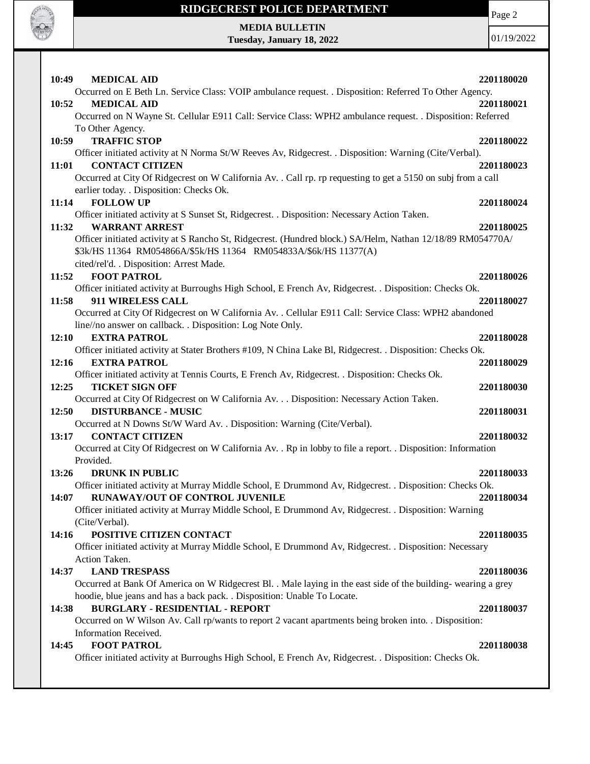

Page 2

**MEDIA BULLETIN Tuesday, January 18, 2022**

| 10:49<br><b>MEDICAL AID</b>                                                                                                                                                     | 2201180020 |
|---------------------------------------------------------------------------------------------------------------------------------------------------------------------------------|------------|
| Occurred on E Beth Ln. Service Class: VOIP ambulance request. . Disposition: Referred To Other Agency.                                                                          |            |
| 10:52<br><b>MEDICAL AID</b>                                                                                                                                                     | 2201180021 |
| Occurred on N Wayne St. Cellular E911 Call: Service Class: WPH2 ambulance request. . Disposition: Referred                                                                      |            |
| To Other Agency.                                                                                                                                                                |            |
| 10:59<br><b>TRAFFIC STOP</b>                                                                                                                                                    | 2201180022 |
| Officer initiated activity at N Norma St/W Reeves Av, Ridgecrest. . Disposition: Warning (Cite/Verbal).                                                                         |            |
| <b>CONTACT CITIZEN</b><br>11:01                                                                                                                                                 | 2201180023 |
| Occurred at City Of Ridgecrest on W California Av. . Call rp. rp requesting to get a 5150 on subj from a call<br>earlier today. . Disposition: Checks Ok.                       |            |
| <b>FOLLOW UP</b><br>11:14                                                                                                                                                       | 2201180024 |
| Officer initiated activity at S Sunset St, Ridgecrest. . Disposition: Necessary Action Taken.                                                                                   |            |
| <b>WARRANT ARREST</b><br>11:32                                                                                                                                                  | 2201180025 |
| Officer initiated activity at S Rancho St, Ridgecrest. (Hundred block.) SA/Helm, Nathan 12/18/89 RM054770A/<br>\$3k/HS 11364 RM054866A/\$5k/HS 11364 RM054833A/\$6k/HS 11377(A) |            |
| cited/rel'd. . Disposition: Arrest Made.                                                                                                                                        |            |
| <b>FOOT PATROL</b><br>11:52                                                                                                                                                     | 2201180026 |
| Officer initiated activity at Burroughs High School, E French Av, Ridgecrest. . Disposition: Checks Ok.                                                                         |            |
| 911 WIRELESS CALL<br>11:58                                                                                                                                                      | 2201180027 |
| Occurred at City Of Ridgecrest on W California Av. . Cellular E911 Call: Service Class: WPH2 abandoned<br>line//no answer on callback. . Disposition: Log Note Only.            |            |
| <b>EXTRA PATROL</b><br>12:10                                                                                                                                                    | 2201180028 |
| Officer initiated activity at Stater Brothers #109, N China Lake Bl, Ridgecrest. . Disposition: Checks Ok.                                                                      |            |
| <b>EXTRA PATROL</b><br>12:16                                                                                                                                                    | 2201180029 |
| Officer initiated activity at Tennis Courts, E French Av, Ridgecrest. . Disposition: Checks Ok.                                                                                 |            |
| <b>TICKET SIGN OFF</b><br>12:25                                                                                                                                                 | 2201180030 |
| Occurred at City Of Ridgecrest on W California Av. Disposition: Necessary Action Taken.                                                                                         |            |
| 12:50<br><b>DISTURBANCE - MUSIC</b>                                                                                                                                             | 2201180031 |
| Occurred at N Downs St/W Ward Av. . Disposition: Warning (Cite/Verbal).                                                                                                         |            |
| <b>CONTACT CITIZEN</b><br>13:17<br>Occurred at City Of Ridgecrest on W California Av. . Rp in lobby to file a report. . Disposition: Information                                | 2201180032 |
| Provided.                                                                                                                                                                       |            |
| 13:26<br><b>DRUNK IN PUBLIC</b>                                                                                                                                                 | 2201180033 |
| Officer initiated activity at Murray Middle School, E Drummond Av, Ridgecrest. . Disposition: Checks Ok.                                                                        |            |
| RUNAWAY/OUT OF CONTROL JUVENILE<br>14:07                                                                                                                                        | 2201180034 |
| Officer initiated activity at Murray Middle School, E Drummond Av, Ridgecrest. . Disposition: Warning                                                                           |            |
| (Cite/Verbal).                                                                                                                                                                  |            |
| POSITIVE CITIZEN CONTACT<br>14:16                                                                                                                                               | 2201180035 |
| Officer initiated activity at Murray Middle School, E Drummond Av, Ridgecrest. . Disposition: Necessary                                                                         |            |
| Action Taken.                                                                                                                                                                   |            |
| <b>LAND TRESPASS</b><br>14:37                                                                                                                                                   | 2201180036 |
| Occurred at Bank Of America on W Ridgecrest Bl. . Male laying in the east side of the building-wearing a grey                                                                   |            |
| hoodie, blue jeans and has a back pack. . Disposition: Unable To Locate.                                                                                                        |            |
| <b>BURGLARY - RESIDENTIAL - REPORT</b><br>14:38                                                                                                                                 | 2201180037 |
| Occurred on W Wilson Av. Call rp/wants to report 2 vacant apartments being broken into. . Disposition:                                                                          |            |
| Information Received.                                                                                                                                                           |            |
| <b>FOOT PATROL</b><br>14:45                                                                                                                                                     | 2201180038 |
| Officer initiated activity at Burroughs High School, E French Av, Ridgecrest. . Disposition: Checks Ok.                                                                         |            |
|                                                                                                                                                                                 |            |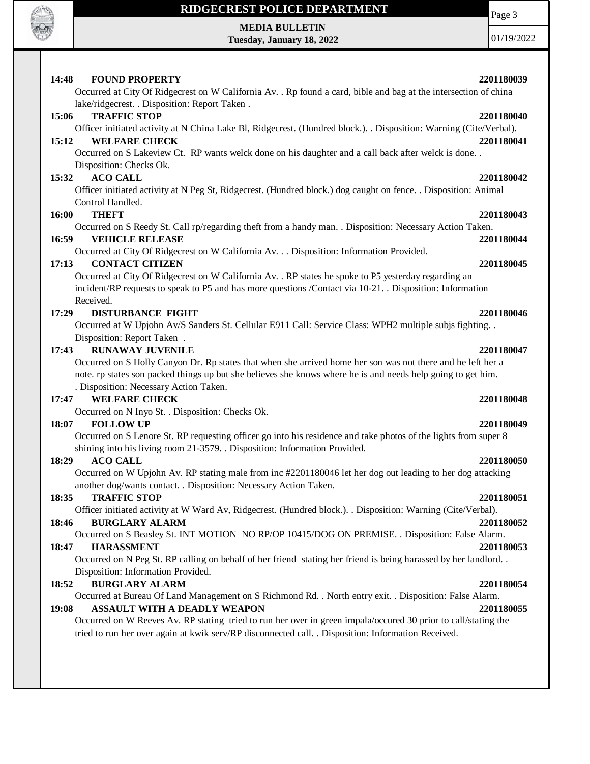

**MEDIA BULLETIN Tuesday, January 18, 2022** Page 3

| Occurred at City Of Ridgecrest on W California Av. . Rp found a card, bible and bag at the intersection of china<br>lake/ridgecrest. . Disposition: Report Taken .<br>15:06<br><b>TRAFFIC STOP</b><br>Officer initiated activity at N China Lake Bl, Ridgecrest. (Hundred block.). . Disposition: Warning (Cite/Verbal).<br>15:12<br><b>WELFARE CHECK</b><br>Occurred on S Lakeview Ct. RP wants welck done on his daughter and a call back after welck is done<br>Disposition: Checks Ok.<br><b>ACO CALL</b><br>15:32<br>Officer initiated activity at N Peg St, Ridgecrest. (Hundred block.) dog caught on fence. . Disposition: Animal<br>Control Handled.<br><b>THEFT</b><br>16:00<br>Occurred on S Reedy St. Call rp/regarding theft from a handy man. . Disposition: Necessary Action Taken.<br><b>VEHICLE RELEASE</b><br>16:59<br>Occurred at City Of Ridgecrest on W California Av. Disposition: Information Provided.<br><b>CONTACT CITIZEN</b><br>17:13<br>Occurred at City Of Ridgecrest on W California Av. . RP states he spoke to P5 yesterday regarding an<br>incident/RP requests to speak to P5 and has more questions /Contact via 10-21. Disposition: Information<br>Received.<br>17:29<br><b>DISTURBANCE FIGHT</b><br>Occurred at W Upjohn Av/S Sanders St. Cellular E911 Call: Service Class: WPH2 multiple subjs fighting<br>Disposition: Report Taken.<br><b>RUNAWAY JUVENILE</b><br>17:43<br>Occurred on S Holly Canyon Dr. Rp states that when she arrived home her son was not there and he left her a<br>note. rp states son packed things up but she believes she knows where he is and needs help going to get him.<br>. Disposition: Necessary Action Taken.<br><b>WELFARE CHECK</b><br>17:47<br>Occurred on N Inyo St. . Disposition: Checks Ok.<br><b>FOLLOW UP</b><br>18:07<br>Occurred on S Lenore St. RP requesting officer go into his residence and take photos of the lights from super 8<br>shining into his living room 21-3579. . Disposition: Information Provided.<br>18:29<br><b>ACO CALL</b><br>Occurred on W Upjohn Av. RP stating male from inc #2201180046 let her dog out leading to her dog attacking<br>another dog/wants contact. . Disposition: Necessary Action Taken.<br>18:35<br><b>TRAFFIC STOP</b><br>Officer initiated activity at W Ward Av, Ridgecrest. (Hundred block.). . Disposition: Warning (Cite/Verbal).<br><b>BURGLARY ALARM</b><br>18:46<br>Occurred on S Beasley St. INT MOTION NO RP/OP 10415/DOG ON PREMISE. . Disposition: False Alarm.<br><b>HARASSMENT</b><br>18:47<br>Occurred on N Peg St. RP calling on behalf of her friend stating her friend is being harassed by her landlord<br>Disposition: Information Provided.<br><b>BURGLARY ALARM</b><br>18:52<br>Occurred at Bureau Of Land Management on S Richmond Rd. . North entry exit. . Disposition: False Alarm.<br>ASSAULT WITH A DEADLY WEAPON<br>19:08<br>Occurred on W Reeves Av. RP stating tried to run her over in green impala/occured 30 prior to call/stating the | 14:48 | <b>FOUND PROPERTY</b>                                                                               | 2201180039 |
|----------------------------------------------------------------------------------------------------------------------------------------------------------------------------------------------------------------------------------------------------------------------------------------------------------------------------------------------------------------------------------------------------------------------------------------------------------------------------------------------------------------------------------------------------------------------------------------------------------------------------------------------------------------------------------------------------------------------------------------------------------------------------------------------------------------------------------------------------------------------------------------------------------------------------------------------------------------------------------------------------------------------------------------------------------------------------------------------------------------------------------------------------------------------------------------------------------------------------------------------------------------------------------------------------------------------------------------------------------------------------------------------------------------------------------------------------------------------------------------------------------------------------------------------------------------------------------------------------------------------------------------------------------------------------------------------------------------------------------------------------------------------------------------------------------------------------------------------------------------------------------------------------------------------------------------------------------------------------------------------------------------------------------------------------------------------------------------------------------------------------------------------------------------------------------------------------------------------------------------------------------------------------------------------------------------------------------------------------------------------------------------------------------------------------------------------------------------------------------------------------------------------------------------------------------------------------------------------------------------------------------------------------------------------------------------------------------------------------------------------------------------------------------------------------------------------------------------------------------------------------------------------------------------------------------------------------------------------------------------------------------------|-------|-----------------------------------------------------------------------------------------------------|------------|
|                                                                                                                                                                                                                                                                                                                                                                                                                                                                                                                                                                                                                                                                                                                                                                                                                                                                                                                                                                                                                                                                                                                                                                                                                                                                                                                                                                                                                                                                                                                                                                                                                                                                                                                                                                                                                                                                                                                                                                                                                                                                                                                                                                                                                                                                                                                                                                                                                                                                                                                                                                                                                                                                                                                                                                                                                                                                                                                                                                                                                |       |                                                                                                     |            |
|                                                                                                                                                                                                                                                                                                                                                                                                                                                                                                                                                                                                                                                                                                                                                                                                                                                                                                                                                                                                                                                                                                                                                                                                                                                                                                                                                                                                                                                                                                                                                                                                                                                                                                                                                                                                                                                                                                                                                                                                                                                                                                                                                                                                                                                                                                                                                                                                                                                                                                                                                                                                                                                                                                                                                                                                                                                                                                                                                                                                                |       |                                                                                                     | 2201180040 |
|                                                                                                                                                                                                                                                                                                                                                                                                                                                                                                                                                                                                                                                                                                                                                                                                                                                                                                                                                                                                                                                                                                                                                                                                                                                                                                                                                                                                                                                                                                                                                                                                                                                                                                                                                                                                                                                                                                                                                                                                                                                                                                                                                                                                                                                                                                                                                                                                                                                                                                                                                                                                                                                                                                                                                                                                                                                                                                                                                                                                                |       |                                                                                                     |            |
|                                                                                                                                                                                                                                                                                                                                                                                                                                                                                                                                                                                                                                                                                                                                                                                                                                                                                                                                                                                                                                                                                                                                                                                                                                                                                                                                                                                                                                                                                                                                                                                                                                                                                                                                                                                                                                                                                                                                                                                                                                                                                                                                                                                                                                                                                                                                                                                                                                                                                                                                                                                                                                                                                                                                                                                                                                                                                                                                                                                                                |       |                                                                                                     | 2201180041 |
|                                                                                                                                                                                                                                                                                                                                                                                                                                                                                                                                                                                                                                                                                                                                                                                                                                                                                                                                                                                                                                                                                                                                                                                                                                                                                                                                                                                                                                                                                                                                                                                                                                                                                                                                                                                                                                                                                                                                                                                                                                                                                                                                                                                                                                                                                                                                                                                                                                                                                                                                                                                                                                                                                                                                                                                                                                                                                                                                                                                                                |       |                                                                                                     |            |
|                                                                                                                                                                                                                                                                                                                                                                                                                                                                                                                                                                                                                                                                                                                                                                                                                                                                                                                                                                                                                                                                                                                                                                                                                                                                                                                                                                                                                                                                                                                                                                                                                                                                                                                                                                                                                                                                                                                                                                                                                                                                                                                                                                                                                                                                                                                                                                                                                                                                                                                                                                                                                                                                                                                                                                                                                                                                                                                                                                                                                |       |                                                                                                     |            |
|                                                                                                                                                                                                                                                                                                                                                                                                                                                                                                                                                                                                                                                                                                                                                                                                                                                                                                                                                                                                                                                                                                                                                                                                                                                                                                                                                                                                                                                                                                                                                                                                                                                                                                                                                                                                                                                                                                                                                                                                                                                                                                                                                                                                                                                                                                                                                                                                                                                                                                                                                                                                                                                                                                                                                                                                                                                                                                                                                                                                                |       |                                                                                                     | 2201180042 |
|                                                                                                                                                                                                                                                                                                                                                                                                                                                                                                                                                                                                                                                                                                                                                                                                                                                                                                                                                                                                                                                                                                                                                                                                                                                                                                                                                                                                                                                                                                                                                                                                                                                                                                                                                                                                                                                                                                                                                                                                                                                                                                                                                                                                                                                                                                                                                                                                                                                                                                                                                                                                                                                                                                                                                                                                                                                                                                                                                                                                                |       |                                                                                                     |            |
|                                                                                                                                                                                                                                                                                                                                                                                                                                                                                                                                                                                                                                                                                                                                                                                                                                                                                                                                                                                                                                                                                                                                                                                                                                                                                                                                                                                                                                                                                                                                                                                                                                                                                                                                                                                                                                                                                                                                                                                                                                                                                                                                                                                                                                                                                                                                                                                                                                                                                                                                                                                                                                                                                                                                                                                                                                                                                                                                                                                                                |       |                                                                                                     |            |
|                                                                                                                                                                                                                                                                                                                                                                                                                                                                                                                                                                                                                                                                                                                                                                                                                                                                                                                                                                                                                                                                                                                                                                                                                                                                                                                                                                                                                                                                                                                                                                                                                                                                                                                                                                                                                                                                                                                                                                                                                                                                                                                                                                                                                                                                                                                                                                                                                                                                                                                                                                                                                                                                                                                                                                                                                                                                                                                                                                                                                |       |                                                                                                     | 2201180043 |
|                                                                                                                                                                                                                                                                                                                                                                                                                                                                                                                                                                                                                                                                                                                                                                                                                                                                                                                                                                                                                                                                                                                                                                                                                                                                                                                                                                                                                                                                                                                                                                                                                                                                                                                                                                                                                                                                                                                                                                                                                                                                                                                                                                                                                                                                                                                                                                                                                                                                                                                                                                                                                                                                                                                                                                                                                                                                                                                                                                                                                |       |                                                                                                     |            |
|                                                                                                                                                                                                                                                                                                                                                                                                                                                                                                                                                                                                                                                                                                                                                                                                                                                                                                                                                                                                                                                                                                                                                                                                                                                                                                                                                                                                                                                                                                                                                                                                                                                                                                                                                                                                                                                                                                                                                                                                                                                                                                                                                                                                                                                                                                                                                                                                                                                                                                                                                                                                                                                                                                                                                                                                                                                                                                                                                                                                                |       |                                                                                                     | 2201180044 |
|                                                                                                                                                                                                                                                                                                                                                                                                                                                                                                                                                                                                                                                                                                                                                                                                                                                                                                                                                                                                                                                                                                                                                                                                                                                                                                                                                                                                                                                                                                                                                                                                                                                                                                                                                                                                                                                                                                                                                                                                                                                                                                                                                                                                                                                                                                                                                                                                                                                                                                                                                                                                                                                                                                                                                                                                                                                                                                                                                                                                                |       |                                                                                                     |            |
|                                                                                                                                                                                                                                                                                                                                                                                                                                                                                                                                                                                                                                                                                                                                                                                                                                                                                                                                                                                                                                                                                                                                                                                                                                                                                                                                                                                                                                                                                                                                                                                                                                                                                                                                                                                                                                                                                                                                                                                                                                                                                                                                                                                                                                                                                                                                                                                                                                                                                                                                                                                                                                                                                                                                                                                                                                                                                                                                                                                                                |       |                                                                                                     | 2201180045 |
|                                                                                                                                                                                                                                                                                                                                                                                                                                                                                                                                                                                                                                                                                                                                                                                                                                                                                                                                                                                                                                                                                                                                                                                                                                                                                                                                                                                                                                                                                                                                                                                                                                                                                                                                                                                                                                                                                                                                                                                                                                                                                                                                                                                                                                                                                                                                                                                                                                                                                                                                                                                                                                                                                                                                                                                                                                                                                                                                                                                                                |       |                                                                                                     |            |
|                                                                                                                                                                                                                                                                                                                                                                                                                                                                                                                                                                                                                                                                                                                                                                                                                                                                                                                                                                                                                                                                                                                                                                                                                                                                                                                                                                                                                                                                                                                                                                                                                                                                                                                                                                                                                                                                                                                                                                                                                                                                                                                                                                                                                                                                                                                                                                                                                                                                                                                                                                                                                                                                                                                                                                                                                                                                                                                                                                                                                |       |                                                                                                     |            |
|                                                                                                                                                                                                                                                                                                                                                                                                                                                                                                                                                                                                                                                                                                                                                                                                                                                                                                                                                                                                                                                                                                                                                                                                                                                                                                                                                                                                                                                                                                                                                                                                                                                                                                                                                                                                                                                                                                                                                                                                                                                                                                                                                                                                                                                                                                                                                                                                                                                                                                                                                                                                                                                                                                                                                                                                                                                                                                                                                                                                                |       |                                                                                                     |            |
|                                                                                                                                                                                                                                                                                                                                                                                                                                                                                                                                                                                                                                                                                                                                                                                                                                                                                                                                                                                                                                                                                                                                                                                                                                                                                                                                                                                                                                                                                                                                                                                                                                                                                                                                                                                                                                                                                                                                                                                                                                                                                                                                                                                                                                                                                                                                                                                                                                                                                                                                                                                                                                                                                                                                                                                                                                                                                                                                                                                                                |       |                                                                                                     | 2201180046 |
|                                                                                                                                                                                                                                                                                                                                                                                                                                                                                                                                                                                                                                                                                                                                                                                                                                                                                                                                                                                                                                                                                                                                                                                                                                                                                                                                                                                                                                                                                                                                                                                                                                                                                                                                                                                                                                                                                                                                                                                                                                                                                                                                                                                                                                                                                                                                                                                                                                                                                                                                                                                                                                                                                                                                                                                                                                                                                                                                                                                                                |       |                                                                                                     |            |
|                                                                                                                                                                                                                                                                                                                                                                                                                                                                                                                                                                                                                                                                                                                                                                                                                                                                                                                                                                                                                                                                                                                                                                                                                                                                                                                                                                                                                                                                                                                                                                                                                                                                                                                                                                                                                                                                                                                                                                                                                                                                                                                                                                                                                                                                                                                                                                                                                                                                                                                                                                                                                                                                                                                                                                                                                                                                                                                                                                                                                |       |                                                                                                     |            |
|                                                                                                                                                                                                                                                                                                                                                                                                                                                                                                                                                                                                                                                                                                                                                                                                                                                                                                                                                                                                                                                                                                                                                                                                                                                                                                                                                                                                                                                                                                                                                                                                                                                                                                                                                                                                                                                                                                                                                                                                                                                                                                                                                                                                                                                                                                                                                                                                                                                                                                                                                                                                                                                                                                                                                                                                                                                                                                                                                                                                                |       |                                                                                                     | 2201180047 |
|                                                                                                                                                                                                                                                                                                                                                                                                                                                                                                                                                                                                                                                                                                                                                                                                                                                                                                                                                                                                                                                                                                                                                                                                                                                                                                                                                                                                                                                                                                                                                                                                                                                                                                                                                                                                                                                                                                                                                                                                                                                                                                                                                                                                                                                                                                                                                                                                                                                                                                                                                                                                                                                                                                                                                                                                                                                                                                                                                                                                                |       |                                                                                                     |            |
|                                                                                                                                                                                                                                                                                                                                                                                                                                                                                                                                                                                                                                                                                                                                                                                                                                                                                                                                                                                                                                                                                                                                                                                                                                                                                                                                                                                                                                                                                                                                                                                                                                                                                                                                                                                                                                                                                                                                                                                                                                                                                                                                                                                                                                                                                                                                                                                                                                                                                                                                                                                                                                                                                                                                                                                                                                                                                                                                                                                                                |       |                                                                                                     |            |
|                                                                                                                                                                                                                                                                                                                                                                                                                                                                                                                                                                                                                                                                                                                                                                                                                                                                                                                                                                                                                                                                                                                                                                                                                                                                                                                                                                                                                                                                                                                                                                                                                                                                                                                                                                                                                                                                                                                                                                                                                                                                                                                                                                                                                                                                                                                                                                                                                                                                                                                                                                                                                                                                                                                                                                                                                                                                                                                                                                                                                |       |                                                                                                     |            |
|                                                                                                                                                                                                                                                                                                                                                                                                                                                                                                                                                                                                                                                                                                                                                                                                                                                                                                                                                                                                                                                                                                                                                                                                                                                                                                                                                                                                                                                                                                                                                                                                                                                                                                                                                                                                                                                                                                                                                                                                                                                                                                                                                                                                                                                                                                                                                                                                                                                                                                                                                                                                                                                                                                                                                                                                                                                                                                                                                                                                                |       |                                                                                                     | 2201180048 |
|                                                                                                                                                                                                                                                                                                                                                                                                                                                                                                                                                                                                                                                                                                                                                                                                                                                                                                                                                                                                                                                                                                                                                                                                                                                                                                                                                                                                                                                                                                                                                                                                                                                                                                                                                                                                                                                                                                                                                                                                                                                                                                                                                                                                                                                                                                                                                                                                                                                                                                                                                                                                                                                                                                                                                                                                                                                                                                                                                                                                                |       |                                                                                                     |            |
|                                                                                                                                                                                                                                                                                                                                                                                                                                                                                                                                                                                                                                                                                                                                                                                                                                                                                                                                                                                                                                                                                                                                                                                                                                                                                                                                                                                                                                                                                                                                                                                                                                                                                                                                                                                                                                                                                                                                                                                                                                                                                                                                                                                                                                                                                                                                                                                                                                                                                                                                                                                                                                                                                                                                                                                                                                                                                                                                                                                                                |       |                                                                                                     | 2201180049 |
|                                                                                                                                                                                                                                                                                                                                                                                                                                                                                                                                                                                                                                                                                                                                                                                                                                                                                                                                                                                                                                                                                                                                                                                                                                                                                                                                                                                                                                                                                                                                                                                                                                                                                                                                                                                                                                                                                                                                                                                                                                                                                                                                                                                                                                                                                                                                                                                                                                                                                                                                                                                                                                                                                                                                                                                                                                                                                                                                                                                                                |       |                                                                                                     |            |
|                                                                                                                                                                                                                                                                                                                                                                                                                                                                                                                                                                                                                                                                                                                                                                                                                                                                                                                                                                                                                                                                                                                                                                                                                                                                                                                                                                                                                                                                                                                                                                                                                                                                                                                                                                                                                                                                                                                                                                                                                                                                                                                                                                                                                                                                                                                                                                                                                                                                                                                                                                                                                                                                                                                                                                                                                                                                                                                                                                                                                |       |                                                                                                     | 2201180050 |
|                                                                                                                                                                                                                                                                                                                                                                                                                                                                                                                                                                                                                                                                                                                                                                                                                                                                                                                                                                                                                                                                                                                                                                                                                                                                                                                                                                                                                                                                                                                                                                                                                                                                                                                                                                                                                                                                                                                                                                                                                                                                                                                                                                                                                                                                                                                                                                                                                                                                                                                                                                                                                                                                                                                                                                                                                                                                                                                                                                                                                |       |                                                                                                     |            |
|                                                                                                                                                                                                                                                                                                                                                                                                                                                                                                                                                                                                                                                                                                                                                                                                                                                                                                                                                                                                                                                                                                                                                                                                                                                                                                                                                                                                                                                                                                                                                                                                                                                                                                                                                                                                                                                                                                                                                                                                                                                                                                                                                                                                                                                                                                                                                                                                                                                                                                                                                                                                                                                                                                                                                                                                                                                                                                                                                                                                                |       |                                                                                                     |            |
|                                                                                                                                                                                                                                                                                                                                                                                                                                                                                                                                                                                                                                                                                                                                                                                                                                                                                                                                                                                                                                                                                                                                                                                                                                                                                                                                                                                                                                                                                                                                                                                                                                                                                                                                                                                                                                                                                                                                                                                                                                                                                                                                                                                                                                                                                                                                                                                                                                                                                                                                                                                                                                                                                                                                                                                                                                                                                                                                                                                                                |       |                                                                                                     | 2201180051 |
|                                                                                                                                                                                                                                                                                                                                                                                                                                                                                                                                                                                                                                                                                                                                                                                                                                                                                                                                                                                                                                                                                                                                                                                                                                                                                                                                                                                                                                                                                                                                                                                                                                                                                                                                                                                                                                                                                                                                                                                                                                                                                                                                                                                                                                                                                                                                                                                                                                                                                                                                                                                                                                                                                                                                                                                                                                                                                                                                                                                                                |       |                                                                                                     |            |
|                                                                                                                                                                                                                                                                                                                                                                                                                                                                                                                                                                                                                                                                                                                                                                                                                                                                                                                                                                                                                                                                                                                                                                                                                                                                                                                                                                                                                                                                                                                                                                                                                                                                                                                                                                                                                                                                                                                                                                                                                                                                                                                                                                                                                                                                                                                                                                                                                                                                                                                                                                                                                                                                                                                                                                                                                                                                                                                                                                                                                |       |                                                                                                     | 2201180052 |
|                                                                                                                                                                                                                                                                                                                                                                                                                                                                                                                                                                                                                                                                                                                                                                                                                                                                                                                                                                                                                                                                                                                                                                                                                                                                                                                                                                                                                                                                                                                                                                                                                                                                                                                                                                                                                                                                                                                                                                                                                                                                                                                                                                                                                                                                                                                                                                                                                                                                                                                                                                                                                                                                                                                                                                                                                                                                                                                                                                                                                |       |                                                                                                     |            |
|                                                                                                                                                                                                                                                                                                                                                                                                                                                                                                                                                                                                                                                                                                                                                                                                                                                                                                                                                                                                                                                                                                                                                                                                                                                                                                                                                                                                                                                                                                                                                                                                                                                                                                                                                                                                                                                                                                                                                                                                                                                                                                                                                                                                                                                                                                                                                                                                                                                                                                                                                                                                                                                                                                                                                                                                                                                                                                                                                                                                                |       |                                                                                                     | 2201180053 |
|                                                                                                                                                                                                                                                                                                                                                                                                                                                                                                                                                                                                                                                                                                                                                                                                                                                                                                                                                                                                                                                                                                                                                                                                                                                                                                                                                                                                                                                                                                                                                                                                                                                                                                                                                                                                                                                                                                                                                                                                                                                                                                                                                                                                                                                                                                                                                                                                                                                                                                                                                                                                                                                                                                                                                                                                                                                                                                                                                                                                                |       |                                                                                                     |            |
|                                                                                                                                                                                                                                                                                                                                                                                                                                                                                                                                                                                                                                                                                                                                                                                                                                                                                                                                                                                                                                                                                                                                                                                                                                                                                                                                                                                                                                                                                                                                                                                                                                                                                                                                                                                                                                                                                                                                                                                                                                                                                                                                                                                                                                                                                                                                                                                                                                                                                                                                                                                                                                                                                                                                                                                                                                                                                                                                                                                                                |       |                                                                                                     | 2201180054 |
|                                                                                                                                                                                                                                                                                                                                                                                                                                                                                                                                                                                                                                                                                                                                                                                                                                                                                                                                                                                                                                                                                                                                                                                                                                                                                                                                                                                                                                                                                                                                                                                                                                                                                                                                                                                                                                                                                                                                                                                                                                                                                                                                                                                                                                                                                                                                                                                                                                                                                                                                                                                                                                                                                                                                                                                                                                                                                                                                                                                                                |       |                                                                                                     |            |
|                                                                                                                                                                                                                                                                                                                                                                                                                                                                                                                                                                                                                                                                                                                                                                                                                                                                                                                                                                                                                                                                                                                                                                                                                                                                                                                                                                                                                                                                                                                                                                                                                                                                                                                                                                                                                                                                                                                                                                                                                                                                                                                                                                                                                                                                                                                                                                                                                                                                                                                                                                                                                                                                                                                                                                                                                                                                                                                                                                                                                |       |                                                                                                     | 2201180055 |
|                                                                                                                                                                                                                                                                                                                                                                                                                                                                                                                                                                                                                                                                                                                                                                                                                                                                                                                                                                                                                                                                                                                                                                                                                                                                                                                                                                                                                                                                                                                                                                                                                                                                                                                                                                                                                                                                                                                                                                                                                                                                                                                                                                                                                                                                                                                                                                                                                                                                                                                                                                                                                                                                                                                                                                                                                                                                                                                                                                                                                |       |                                                                                                     |            |
|                                                                                                                                                                                                                                                                                                                                                                                                                                                                                                                                                                                                                                                                                                                                                                                                                                                                                                                                                                                                                                                                                                                                                                                                                                                                                                                                                                                                                                                                                                                                                                                                                                                                                                                                                                                                                                                                                                                                                                                                                                                                                                                                                                                                                                                                                                                                                                                                                                                                                                                                                                                                                                                                                                                                                                                                                                                                                                                                                                                                                |       | tried to run her over again at kwik serv/RP disconnected call. . Disposition: Information Received. |            |
|                                                                                                                                                                                                                                                                                                                                                                                                                                                                                                                                                                                                                                                                                                                                                                                                                                                                                                                                                                                                                                                                                                                                                                                                                                                                                                                                                                                                                                                                                                                                                                                                                                                                                                                                                                                                                                                                                                                                                                                                                                                                                                                                                                                                                                                                                                                                                                                                                                                                                                                                                                                                                                                                                                                                                                                                                                                                                                                                                                                                                |       |                                                                                                     |            |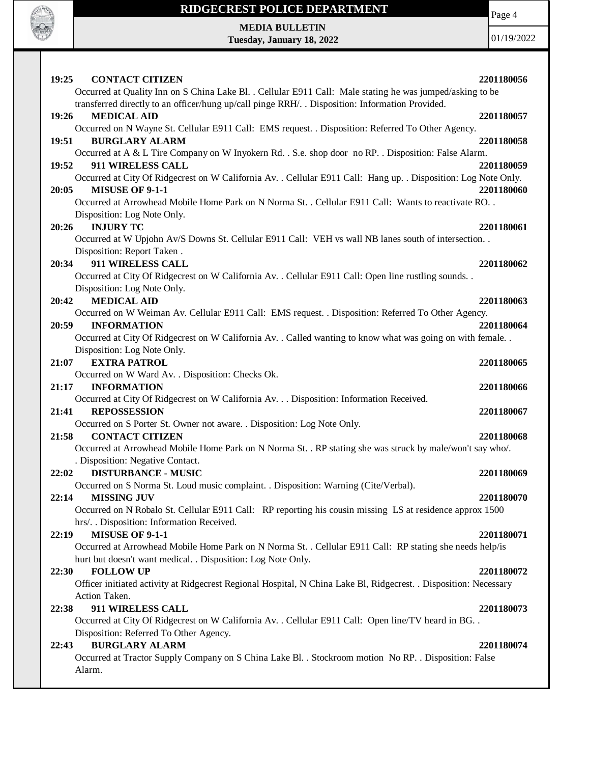

Page 4

**MEDIA BULLETIN Tuesday, January 18, 2022**

| 19:25<br><b>CONTACT CITIZEN</b>                                                                                   | 2201180056 |
|-------------------------------------------------------------------------------------------------------------------|------------|
| Occurred at Quality Inn on S China Lake Bl. . Cellular E911 Call: Male stating he was jumped/asking to be         |            |
| transferred directly to an officer/hung up/call pinge RRH/. . Disposition: Information Provided.                  |            |
| <b>MEDICAL AID</b><br>19:26                                                                                       | 2201180057 |
| Occurred on N Wayne St. Cellular E911 Call: EMS request. . Disposition: Referred To Other Agency.                 |            |
| <b>BURGLARY ALARM</b><br>19:51                                                                                    | 2201180058 |
| Occurred at A & L Tire Company on W Inyokern Rd. . S.e. shop door no RP. . Disposition: False Alarm.              |            |
| 19:52<br>911 WIRELESS CALL                                                                                        | 2201180059 |
| Occurred at City Of Ridgecrest on W California Av. . Cellular E911 Call: Hang up. . Disposition: Log Note Only.   |            |
| <b>MISUSE OF 9-1-1</b><br>20:05                                                                                   | 2201180060 |
| Occurred at Arrowhead Mobile Home Park on N Norma St. . Cellular E911 Call: Wants to reactivate RO. .             |            |
| Disposition: Log Note Only.                                                                                       |            |
| <b>INJURY TC</b><br>20:26                                                                                         | 2201180061 |
| Occurred at W Upjohn Av/S Downs St. Cellular E911 Call: VEH vs wall NB lanes south of intersection                |            |
| Disposition: Report Taken.                                                                                        |            |
| 20:34<br>911 WIRELESS CALL                                                                                        | 2201180062 |
| Occurred at City Of Ridgecrest on W California Av. . Cellular E911 Call: Open line rustling sounds. .             |            |
| Disposition: Log Note Only.                                                                                       |            |
| <b>MEDICAL AID</b><br>20:42                                                                                       | 2201180063 |
| Occurred on W Weiman Av. Cellular E911 Call: EMS request. . Disposition: Referred To Other Agency.                |            |
| <b>INFORMATION</b><br>20:59                                                                                       | 2201180064 |
| Occurred at City Of Ridgecrest on W California Av. . Called wanting to know what was going on with female. .      |            |
| Disposition: Log Note Only.                                                                                       |            |
| <b>EXTRA PATROL</b><br>21:07                                                                                      | 2201180065 |
| Occurred on W Ward Av. . Disposition: Checks Ok.                                                                  |            |
| 21:17<br><b>INFORMATION</b>                                                                                       | 2201180066 |
| Occurred at City Of Ridgecrest on W California Av. Disposition: Information Received.                             |            |
| <b>REPOSSESSION</b><br>21:41                                                                                      | 2201180067 |
| Occurred on S Porter St. Owner not aware. . Disposition: Log Note Only.                                           |            |
| <b>CONTACT CITIZEN</b><br>21:58                                                                                   | 2201180068 |
| Occurred at Arrowhead Mobile Home Park on N Norma St. . RP stating she was struck by male/won't say who/.         |            |
| . Disposition: Negative Contact.                                                                                  |            |
| <b>DISTURBANCE - MUSIC</b><br>22:02                                                                               | 2201180069 |
| Occurred on S Norma St. Loud music complaint. . Disposition: Warning (Cite/Verbal).                               |            |
| 22:14<br><b>MISSING JUV</b>                                                                                       | 2201180070 |
| Occurred on N Robalo St. Cellular E911 Call: RP reporting his cousin missing LS at residence approx 1500          |            |
| hrs/. . Disposition: Information Received.                                                                        |            |
| MISUSE OF 9-1-1<br>22:19                                                                                          | 2201180071 |
| Occurred at Arrowhead Mobile Home Park on N Norma St. . Cellular E911 Call: RP stating she needs help/is          |            |
| hurt but doesn't want medical. . Disposition: Log Note Only.                                                      |            |
| 22:30<br><b>FOLLOW UP</b>                                                                                         | 2201180072 |
| Officer initiated activity at Ridgecrest Regional Hospital, N China Lake Bl, Ridgecrest. . Disposition: Necessary |            |
| Action Taken.                                                                                                     |            |
| 911 WIRELESS CALL<br>22:38                                                                                        | 2201180073 |
| Occurred at City Of Ridgecrest on W California Av. . Cellular E911 Call: Open line/TV heard in BG. .              |            |
| Disposition: Referred To Other Agency.                                                                            |            |
| <b>BURGLARY ALARM</b><br>22:43                                                                                    | 2201180074 |
| Occurred at Tractor Supply Company on S China Lake Bl. . Stockroom motion No RP. . Disposition: False             |            |
| Alarm.                                                                                                            |            |
|                                                                                                                   |            |